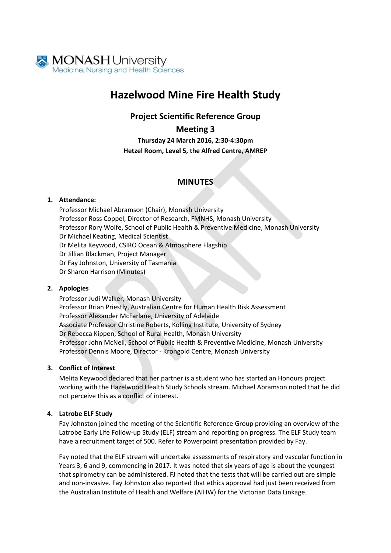

# **Hazelwood Mine Fire Health Study**

### **Project Scientific Reference Group**

**Meeting 3**

**Thursday 24 March 2016, 2:30-4:30pm Hetzel Room, Level 5, the Alfred Centre, AMREP**

## **MINUTES**

#### **1. Attendance:**

Professor Michael Abramson (Chair), Monash University Professor Ross Coppel, Director of Research, FMNHS, Monash University Professor Rory Wolfe, School of Public Health & Preventive Medicine, Monash University Dr Michael Keating, Medical Scientist Dr Melita Keywood, CSIRO Ocean & Atmosphere Flagship Dr Jillian Blackman, Project Manager Dr Fay Johnston, University of Tasmania Dr Sharon Harrison (Minutes)

#### **2. Apologies**

Professor Judi Walker, Monash University Professor Brian Priestly, Australian Centre for Human Health Risk Assessment Professor Alexander McFarlane, University of Adelaide Associate Professor Christine Roberts, Kolling Institute, University of Sydney Dr Rebecca Kippen, School of Rural Health, Monash University Professor John McNeil, School of Public Health & Preventive Medicine, Monash University Professor Dennis Moore, Director - Krongold Centre, Monash University

#### **3. Conflict of Interest**

Melita Keywood declared that her partner is a student who has started an Honours project working with the Hazelwood Health Study Schools stream. Michael Abramson noted that he did not perceive this as a conflict of interest.

#### **4. Latrobe ELF Study**

Fay Johnston joined the meeting of the Scientific Reference Group providing an overview of the Latrobe Early Life Follow-up Study (ELF) stream and reporting on progress. The ELF Study team have a recruitment target of 500. Refer to Powerpoint presentation provided by Fay.

Fay noted that the ELF stream will undertake assessments of respiratory and vascular function in Years 3, 6 and 9, commencing in 2017. It was noted that six years of age is about the youngest that spirometry can be administered. FJ noted that the tests that will be carried out are simple and non-invasive. Fay Johnston also reported that ethics approval had just been received from the Australian Institute of Health and Welfare (AIHW) for the Victorian Data Linkage.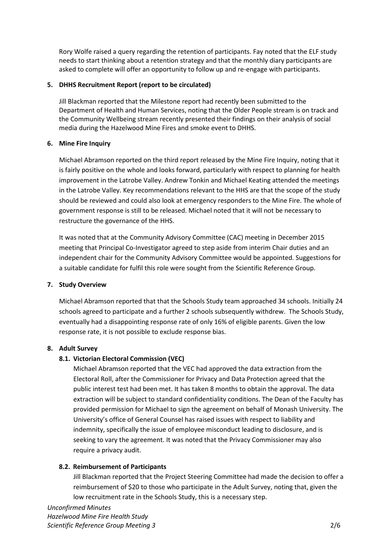Rory Wolfe raised a query regarding the retention of participants. Fay noted that the ELF study needs to start thinking about a retention strategy and that the monthly diary participants are asked to complete will offer an opportunity to follow up and re-engage with participants.

#### **5. DHHS Recruitment Report (report to be circulated)**

Jill Blackman reported that the Milestone report had recently been submitted to the Department of Health and Human Services, noting that the Older People stream is on track and the Community Wellbeing stream recently presented their findings on their analysis of social media during the Hazelwood Mine Fires and smoke event to DHHS.

#### **6. Mine Fire Inquiry**

Michael Abramson reported on the third report released by the Mine Fire Inquiry, noting that it is fairly positive on the whole and looks forward, particularly with respect to planning for health improvement in the Latrobe Valley. Andrew Tonkin and Michael Keating attended the meetings in the Latrobe Valley. Key recommendations relevant to the HHS are that the scope of the study should be reviewed and could also look at emergency responders to the Mine Fire. The whole of government response is still to be released. Michael noted that it will not be necessary to restructure the governance of the HHS.

It was noted that at the Community Advisory Committee (CAC) meeting in December 2015 meeting that Principal Co-Investigator agreed to step aside from interim Chair duties and an independent chair for the Community Advisory Committee would be appointed. Suggestions for a suitable candidate for fulfil this role were sought from the Scientific Reference Group.

#### **7. Study Overview**

Michael Abramson reported that that the Schools Study team approached 34 schools. Initially 24 schools agreed to participate and a further 2 schools subsequently withdrew. The Schools Study, eventually had a disappointing response rate of only 16% of eligible parents. Given the low response rate, it is not possible to exclude response bias.

#### **8. Adult Survey**

#### **8.1. Victorian Electoral Commission (VEC)**

Michael Abramson reported that the VEC had approved the data extraction from the Electoral Roll, after the Commissioner for Privacy and Data Protection agreed that the public interest test had been met. It has taken 8 months to obtain the approval. The data extraction will be subject to standard confidentiality conditions. The Dean of the Faculty has provided permission for Michael to sign the agreement on behalf of Monash University. The University's office of General Counsel has raised issues with respect to liability and indemnity, specifically the issue of employee misconduct leading to disclosure, and is seeking to vary the agreement. It was noted that the Privacy Commissioner may also require a privacy audit.

#### **8.2. Reimbursement of Participants**

Jill Blackman reported that the Project Steering Committee had made the decision to offer a reimbursement of \$20 to those who participate in the Adult Survey, noting that, given the low recruitment rate in the Schools Study, this is a necessary step.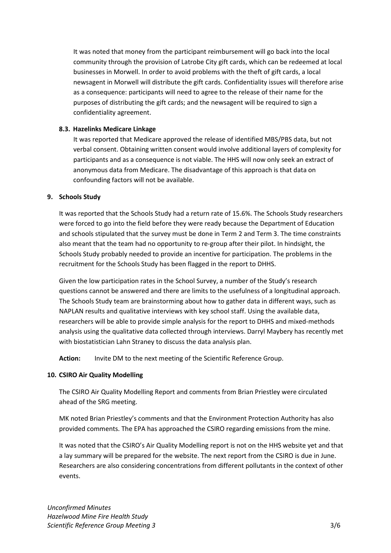It was noted that money from the participant reimbursement will go back into the local community through the provision of Latrobe City gift cards, which can be redeemed at local businesses in Morwell. In order to avoid problems with the theft of gift cards, a local newsagent in Morwell will distribute the gift cards. Confidentiality issues will therefore arise as a consequence: participants will need to agree to the release of their name for the purposes of distributing the gift cards; and the newsagent will be required to sign a confidentiality agreement.

#### **8.3. Hazelinks Medicare Linkage**

It was reported that Medicare approved the release of identified MBS/PBS data, but not verbal consent. Obtaining written consent would involve additional layers of complexity for participants and as a consequence is not viable. The HHS will now only seek an extract of anonymous data from Medicare. The disadvantage of this approach is that data on confounding factors will not be available.

#### **9. Schools Study**

It was reported that the Schools Study had a return rate of 15.6%. The Schools Study researchers were forced to go into the field before they were ready because the Department of Education and schools stipulated that the survey must be done in Term 2 and Term 3. The time constraints also meant that the team had no opportunity to re-group after their pilot. In hindsight, the Schools Study probably needed to provide an incentive for participation. The problems in the recruitment for the Schools Study has been flagged in the report to DHHS.

Given the low participation rates in the School Survey, a number of the Study's research questions cannot be answered and there are limits to the usefulness of a longitudinal approach. The Schools Study team are brainstorming about how to gather data in different ways, such as NAPLAN results and qualitative interviews with key school staff. Using the available data, researchers will be able to provide simple analysis for the report to DHHS and mixed-methods analysis using the qualitative data collected through interviews. Darryl Maybery has recently met with biostatistician Lahn Straney to discuss the data analysis plan.

Action: Invite DM to the next meeting of the Scientific Reference Group.

#### **10. CSIRO Air Quality Modelling**

The CSIRO Air Quality Modelling Report and comments from Brian Priestley were circulated ahead of the SRG meeting.

MK noted Brian Priestley's comments and that the Environment Protection Authority has also provided comments. The EPA has approached the CSIRO regarding emissions from the mine.

It was noted that the CSIRO's Air Quality Modelling report is not on the HHS website yet and that a lay summary will be prepared for the website. The next report from the CSIRO is due in June. Researchers are also considering concentrations from different pollutants in the context of other events.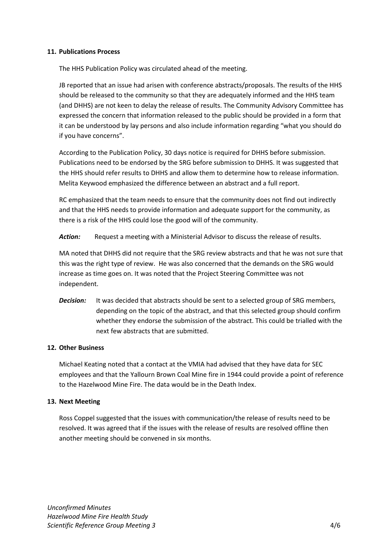#### **11. Publications Process**

The HHS Publication Policy was circulated ahead of the meeting.

JB reported that an issue had arisen with conference abstracts/proposals. The results of the HHS should be released to the community so that they are adequately informed and the HHS team (and DHHS) are not keen to delay the release of results. The Community Advisory Committee has expressed the concern that information released to the public should be provided in a form that it can be understood by lay persons and also include information regarding "what you should do if you have concerns".

According to the Publication Policy, 30 days notice is required for DHHS before submission. Publications need to be endorsed by the SRG before submission to DHHS. It was suggested that the HHS should refer results to DHHS and allow them to determine how to release information. Melita Keywood emphasized the difference between an abstract and a full report.

RC emphasized that the team needs to ensure that the community does not find out indirectly and that the HHS needs to provide information and adequate support for the community, as there is a risk of the HHS could lose the good will of the community.

*Action:* Request a meeting with a Ministerial Advisor to discuss the release of results.

MA noted that DHHS did not require that the SRG review abstracts and that he was not sure that this was the right type of review. He was also concerned that the demands on the SRG would increase as time goes on. It was noted that the Project Steering Committee was not independent.

**Decision:** It was decided that abstracts should be sent to a selected group of SRG members, depending on the topic of the abstract, and that this selected group should confirm whether they endorse the submission of the abstract. This could be trialled with the next few abstracts that are submitted.

#### **12. Other Business**

Michael Keating noted that a contact at the VMIA had advised that they have data for SEC employees and that the Yallourn Brown Coal Mine fire in 1944 could provide a point of reference to the Hazelwood Mine Fire. The data would be in the Death Index.

#### **13. Next Meeting**

Ross Coppel suggested that the issues with communication/the release of results need to be resolved. It was agreed that if the issues with the release of results are resolved offline then another meeting should be convened in six months.